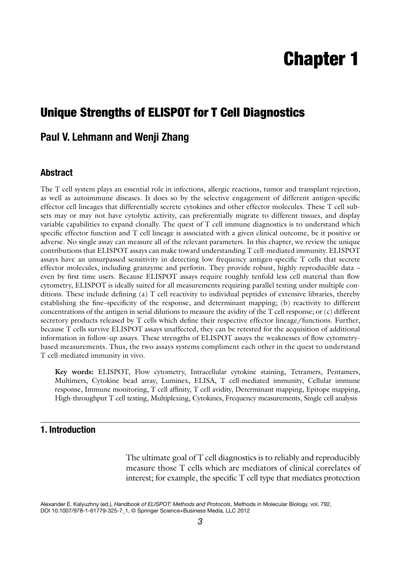# **Chapter 1**

## **Unique Strengths of ELISPOT for T Cell Diagnostics**

## **Paul V. Lehmann and Wenji Zhang**

#### **Abstract**

The T cell system plays an essential role in infections, allergic reactions, tumor and transplant rejection, as well as autoimmune diseases. It does so by the selective engagement of different antigen-specific effector cell lineages that differentially secrete cytokines and other effector molecules. These T cell subsets may or may not have cytolytic activity, can preferentially migrate to different tissues, and display variable capabilities to expand clonally. The quest of T cell immune diagnostics is to understand which specific effector function and T cell lineage is associated with a given clinical outcome, be it positive or adverse. No single assay can measure all of the relevant parameters. In this chapter, we review the unique contributions that ELISPOT assays can make toward understanding T cell-mediated immunity. ELISPOT assays have an unsurpassed sensitivity in detecting low frequency antigen-specific T cells that secrete effector molecules, including granzyme and perforin. They provide robust, highly reproducible data – even by first time users. Because ELISPOT assays require roughly tenfold less cell material than flow cytometry, ELISPOT is ideally suited for all measurements requiring parallel testing under multiple conditions. These include defining (a) T cell reactivity to individual peptides of extensive libraries, thereby establishing the fine–specificity of the response, and determinant mapping; (b) reactivity to different concentrations of the antigen in serial dilutions to measure the avidity of the T cell response; or (c) different secretory products released by T cells which define their respective effector lineage/functions. Further, because T cells survive ELISPOT assays unaffected, they can be retested for the acquisition of additional information in follow-up assays. These strengths of ELISPOT assays the weaknesses of flow cytometrybased measurements. Thus, the two assays systems compliment each other in the quest to understand T cell-mediated immunity in vivo.

**Key words:** ELISPOT, Flow cytometry, Intracellular cytokine staining, Tetramers, Pentamers, Multimers, Cytokine bead array, Luminex, ELISA, T cell-mediated immunity, Cellular immune response, Immune monitoring, T cell affinity, T cell avidity, Determinant mapping, Epitope mapping, High-throughput T cell testing, Multiplexing, Cytokines, Frequency measurements, Single cell analysis

## **1. Introduction**

The ultimate goal of T cell diagnostics is to reliably and reproducibly measure those T cells which are mediators of clinical correlates of interest; for example, the specific T cell type that mediates protection

Alexander E. Kalyuzhny (ed.), *Handbook of ELISPOT: Methods and Protocols*, Methods in Molecular Biology, vol. 792, DOI 10.1007/978-1-61779-325-7\_1, © Springer Science+Business Media, LLC 2012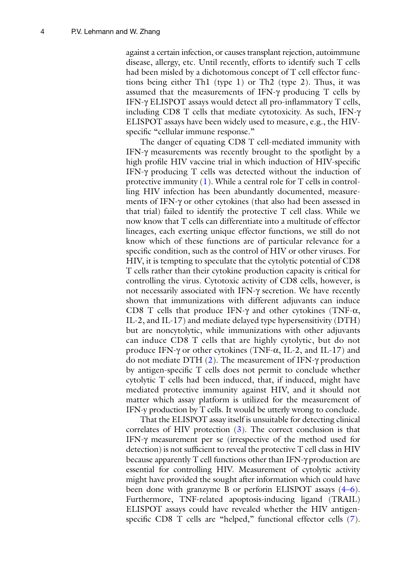against a certain infection, or causes transplant rejection, autoimmune disease, allergy, etc. Until recently, efforts to identify such T cells had been misled by a dichotomous concept of T cell effector functions being either Th1 (type 1) or Th2 (type 2). Thus, it was assumed that the measurements of IFN- $\gamma$  producing T cells by IFN- $\gamma$  ELISPOT assays would detect all pro-inflammatory T cells, including CD8 T cells that mediate cytotoxicity. As such, IFN- $\gamma$ ELISPOT assays have been widely used to measure, e.g., the HIVspecific "cellular immune response."

The danger of equating CD8 T cell-mediated immunity with IFN- $\gamma$  measurements was recently brought to the spotlight by a high profile HIV vaccine trial in which induction of HIV-specific IFN- $\gamma$  producing T cells was detected without the induction of protective immunity  $(1)$  $(1)$ . While a central role for T cells in controlling HIV infection has been abundantly documented, measurements of IFN- $\gamma$  or other cytokines (that also had been assessed in that trial) failed to identify the protective T cell class. While we now know that T cells can differentiate into a multitude of effector lineages, each exerting unique effector functions, we still do not know which of these functions are of particular relevance for a specific condition, such as the control of HIV or other viruses. For HIV, it is tempting to speculate that the cytolytic potential of CD8 T cells rather than their cytokine production capacity is critical for controlling the virus. Cytotoxic activity of CD8 cells, however, is not necessarily associated with IFN- $\gamma$  secretion. We have recently shown that immunizations with different adjuvants can induce CD8 T cells that produce IFN- $\gamma$  and other cytokines (TNF- $\alpha$ , IL-2, and IL-17) and mediate delayed type hypersensitivity (DTH) but are noncytolytic, while immunizations with other adjuvants can induce CD8 T cells that are highly cytolytic, but do not produce IFN- $\gamma$  or other cytokines (TNF- $\alpha$ , IL-2, and IL-17) and do not mediate DTH  $(2)$  $(2)$ . The measurement of IFN- $\gamma$  production by antigen-specific T cells does not permit to conclude whether cytolytic T cells had been induced, that, if induced, might have mediated protective immunity against HIV, and it should not matter which assay platform is utilized for the measurement of IFN-y production by T cells. It would be utterly wrong to conclude.

That the ELISPOT assay itself is unsuitable for detecting clinical correlates of HIV protection  $(3)$  $(3)$ . The correct conclusion is that IFN- $\gamma$  measurement per se (irrespective of the method used for detection) is not sufficient to reveal the protective T cell class in HIV because apparently  $T$  cell functions other than IFN- $\gamma$  production are essential for controlling HIV. Measurement of cytolytic activity might have provided the sought after information which could have been done with granzyme B or perforin ELISPOT assays [\(4–6\)](#page-19-0). Furthermore, TNF-related apoptosis-inducing ligand (TRAIL) ELISPOT assays could have revealed whether the HIV antigen-specific CD8 T cells are "helped," functional effector cells ([7\)](#page-19-0).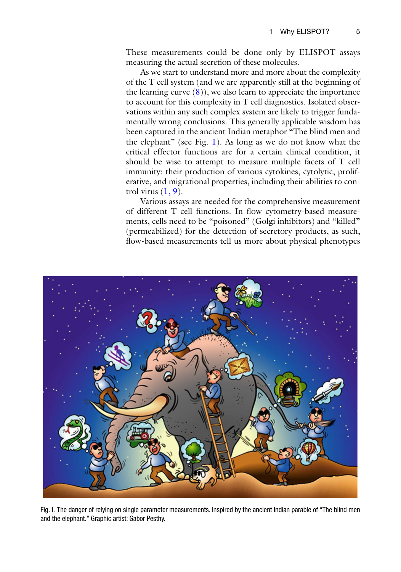<span id="page-2-0"></span>These measurements could be done only by ELISPOT assays measuring the actual secretion of these molecules.

As we start to understand more and more about the complexity of the T cell system (and we are apparently still at the beginning of the learning curve  $(8)$  $(8)$ ), we also learn to appreciate the importance to account for this complexity in T cell diagnostics. Isolated observations within any such complex system are likely to trigger fundamentally wrong conclusions. This generally applicable wisdom has been captured in the ancient Indian metaphor "The blind men and the elephant" (see Fig. 1). As long as we do not know what the critical effector functions are for a certain clinical condition, it should be wise to attempt to measure multiple facets of T cell immunity: their production of various cytokines, cytolytic, proliferative, and migrational properties, including their abilities to control virus  $(1, 9)$  $(1, 9)$ .

Various assays are needed for the comprehensive measurement of different T cell functions. In flow cytometry-based measurements, cells need to be "poisoned" (Golgi inhibitors) and "killed" (permeabilized) for the detection of secretory products, as such, flow-based measurements tell us more about physical phenotypes



Fig. 1. The danger of relying on single parameter measurements. Inspired by the ancient Indian parable of "The blind men and the elephant." Graphic artist: Gabor Pesthy.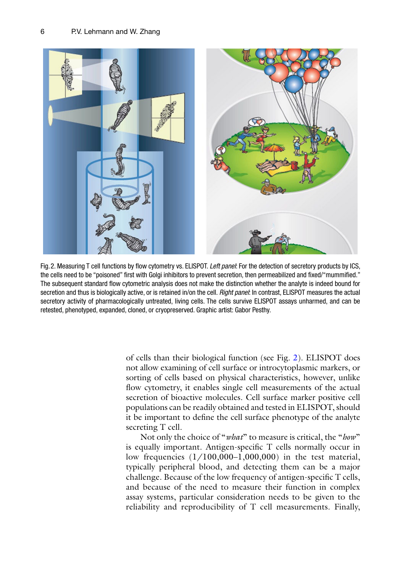

Fig. 2. Measuring T cell functions by flow cytometry vs. ELISPOT. Left panel: For the detection of secretory products by ICS, the cells need to be "poisoned" first with Golgi inhibitors to prevent secretion, then permeabilized and fixed/"mummified." The subsequent standard flow cytometric analysis does not make the distinction whether the analyte is indeed bound for secretion and thus is biologically active, or is retained in/on the cell. Right panel: In contrast, ELISPOT measures the actual secretory activity of pharmacologically untreated, living cells. The cells survive ELISPOT assays unharmed, and can be retested, phenotyped, expanded, cloned, or cryopreserved. Graphic artist: Gabor Pesthy.

of cells than their biological function (see Fig. 2). ELISPOT does not allow examining of cell surface or introcytoplasmic markers, or sorting of cells based on physical characteristics, however, unlike flow cytometry, it enables single cell measurements of the actual secretion of bioactive molecules. Cell surface marker positive cell populations can be readily obtained and tested in ELISPOT, should it be important to define the cell surface phenotype of the analyte secreting T cell.

Not only the choice of "*what*" to measure is critical, the "*how*" is equally important. Antigen-specific T cells normally occur in low frequencies (1/100,000–1,000,000) in the test material, typically peripheral blood, and detecting them can be a major challenge. Because of the low frequency of antigen-specific T cells, and because of the need to measure their function in complex assay systems, particular consideration needs to be given to the reliability and reproducibility of T cell measurements. Finally,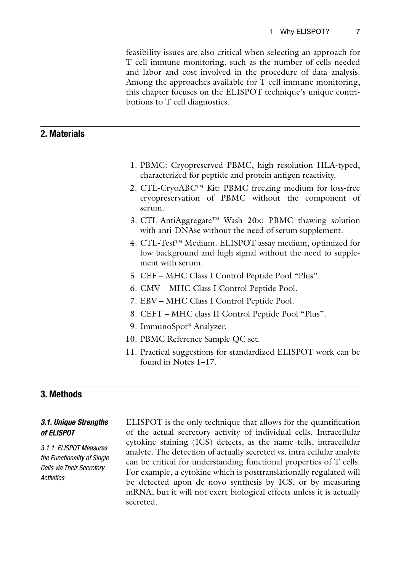feasibility issues are also critical when selecting an approach for T cell immune monitoring, such as the number of cells needed and labor and cost involved in the procedure of data analysis. Among the approaches available for T cell immune monitoring, this chapter focuses on the ELISPOT technique's unique contributions to T cell diagnostics.

### **2. Materials**

- 1. PBMC: Cryopreserved PBMC, high resolution HLA-typed, characterized for peptide and protein antigen reactivity.
- 2. CTL-CryoABC™ Kit: PBMC freezing medium for loss-free cryopreservation of PBMC without the component of serum.
- 3. CTL-AntiAggregate™ Wash 20×: PBMC thawing solution with anti-DNAse without the need of serum supplement.
- 4. CTL-Test™ Medium. ELISPOT assay medium, optimized for low background and high signal without the need to supplement with serum.
- 5. CEF MHC Class I Control Peptide Pool "Plus".
- 6. CMV MHC Class I Control Peptide Pool.
- 7. EBV MHC Class I Control Peptide Pool.
- 8. CEFT MHC class II Control Peptide Pool "Plus".
- 9. ImmunoSpot® Analyzer.
- 10. PBMC Reference Sample QC set.
- 11. Practical suggestions for standardized ELISPOT work can be found in Notes 1–17.

### **3. Methods**

#### *3.1. Unique Strengths of ELISPOT*

3.1.1. ELISPOT Measures the Functionality of Single Cells via Their Secretory **Activities** 

ELISPOT is the only technique that allows for the quantification of the actual secretory activity of individual cells. Intracellular cytokine staining (ICS) detects, as the name tells, intracellular analyte. The detection of actually secreted vs. intra cellular analyte can be critical for understanding functional properties of T cells. For example, a cytokine which is posttranslationally regulated will be detected upon de novo synthesis by ICS, or by measuring mRNA, but it will not exert biological effects unless it is actually secreted.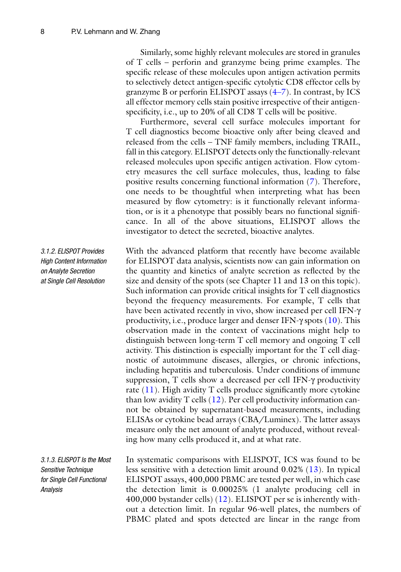Similarly, some highly relevant molecules are stored in granules of T cells – perforin and granzyme being prime examples. The specific release of these molecules upon antigen activation permits to selectively detect antigen-specific cytolytic CD8 effector cells by granzyme B or perforin ELISPOT assays [\(4–7\)](#page-19-0). In contrast, by ICS all effector memory cells stain positive irrespective of their antigenspecificity, i.e., up to 20% of all CD8 T cells will be positive.

Furthermore, several cell surface molecules important for T cell diagnostics become bioactive only after being cleaved and released from the cells – TNF family members, including TRAIL, fall in this category. ELISPOT detects only the functionally-relevant released molecules upon specific antigen activation. Flow cytometry measures the cell surface molecules, thus, leading to false positive results concerning functional information [\(7\)](#page-19-0). Therefore, one needs to be thoughtful when interpreting what has been measured by flow cytometry: is it functionally relevant information, or is it a phenotype that possibly bears no functional significance. In all of the above situations, ELISPOT allows the investigator to detect the secreted, bioactive analytes.

With the advanced platform that recently have become available for ELISPOT data analysis, scientists now can gain information on the quantity and kinetics of analyte secretion as reflected by the size and density of the spots (see Chapter 11 and 13 on this topic). Such information can provide critical insights for T cell diagnostics beyond the frequency measurements. For example, T cells that have been activated recently in vivo, show increased per cell IFN- $\gamma$ productivity, i.e., produce larger and denser IFN- $\gamma$  spots ([10\)](#page-19-0). This observation made in the context of vaccinations might help to distinguish between long-term T cell memory and ongoing T cell activity. This distinction is especially important for the T cell diagnostic of autoimmune diseases, allergies, or chronic infections, including hepatitis and tuberculosis. Under conditions of immune suppression,  $T$  cells show a decreased per cell IFN- $\gamma$  productivity rate  $(11)$  $(11)$ . High avidity T cells produce significantly more cytokine than low avidity T cells  $(12)$  $(12)$ . Per cell productivity information cannot be obtained by supernatant-based measurements, including ELISAs or cytokine bead arrays (CBA/Luminex). The latter assays measure only the net amount of analyte produced, without revealing how many cells produced it, and at what rate.

In systematic comparisons with ELISPOT, ICS was found to be less sensitive with a detection limit around 0.02% [\(13\)](#page-19-0). In typical ELISPOT assays, 400,000 PBMC are tested per well, in which case the detection limit is 0.00025% (1 analyte producing cell in 400,000 bystander cells) ([12\)](#page-19-0). ELISPOT per se is inherently without a detection limit. In regular 96-well plates, the numbers of PBMC plated and spots detected are linear in the range from 3.1.3. ELISPOT Is the Most Sensitive Technique for Single Cell Functional

3.1.2. ELISPOT Provides High Content Information on Analyte Secretion at Single Cell Resolution

Analysis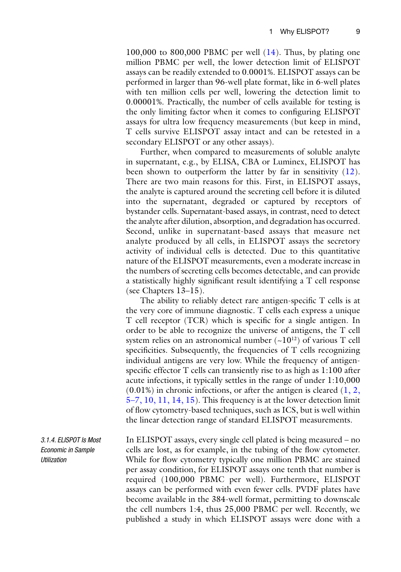100,000 to 800,000 PBMC per well  $(14)$  $(14)$ . Thus, by plating one million PBMC per well, the lower detection limit of ELISPOT assays can be readily extended to 0.0001%. ELISPOT assays can be performed in larger than 96-well plate format, like in 6-well plates with ten million cells per well, lowering the detection limit to 0.00001%. Practically, the number of cells available for testing is the only limiting factor when it comes to configuring ELISPOT assays for ultra low frequency measurements (but keep in mind, T cells survive ELISPOT assay intact and can be retested in a secondary ELISPOT or any other assays).

Further, when compared to measurements of soluble analyte in supernatant, e.g., by ELISA, CBA or Luminex, ELISPOT has been shown to outperform the latter by far in sensitivity ([12\)](#page-19-0). There are two main reasons for this. First, in ELISPOT assays, the analyte is captured around the secreting cell before it is diluted into the supernatant, degraded or captured by receptors of bystander cells. Supernatant-based assays, in contrast, need to detect the analyte after dilution, absorption, and degradation has occurred. Second, unlike in supernatant-based assays that measure net analyte produced by all cells, in ELISPOT assays the secretory activity of individual cells is detected. Due to this quantitative nature of the ELISPOT measurements, even a moderate increase in the numbers of secreting cells becomes detectable, and can provide a statistically highly significant result identifying a T cell response (see Chapters 13–15).

The ability to reliably detect rare antigen-specific T cells is at the very core of immune diagnostic. T cells each express a unique T cell receptor (TCR) which is specific for a single antigen. In order to be able to recognize the universe of antigens, the T cell system relies on an astronomical number  $(-10^{12})$  of various T cell specificities. Subsequently, the frequencies of T cells recognizing individual antigens are very low. While the frequency of antigenspecific effector T cells can transiently rise to as high as 1:100 after acute infections, it typically settles in the range of under 1:10,000  $(0.01\%)$  in chronic infections, or after the antigen is cleared  $(1, 2, 1)$  $(1, 2, 1)$  $(1, 2, 1)$  $5-7$ ,  $10$ ,  $11$ ,  $14$ ,  $15$ ). This frequency is at the lower detection limit of flow cytometry-based techniques, such as ICS, but is well within the linear detection range of standard ELISPOT measurements.

In ELISPOT assays, every single cell plated is being measured – no cells are lost, as for example, in the tubing of the flow cytometer. While for flow cytometry typically one million PBMC are stained per assay condition, for ELISPOT assays one tenth that number is required (100,000 PBMC per well). Furthermore, ELISPOT assays can be performed with even fewer cells. PVDF plates have become available in the 384-well format, permitting to downscale the cell numbers 1:4, thus 25,000 PBMC per well. Recently, we published a study in which ELISPOT assays were done with a

3.1.4. ELISPOT Is Most Economic in Sample Utilization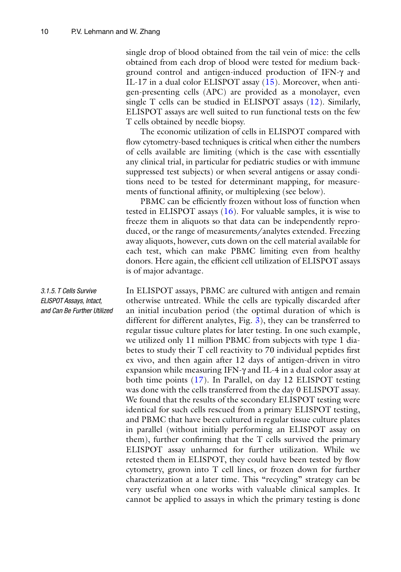single drop of blood obtained from the tail vein of mice: the cells obtained from each drop of blood were tested for medium background control and antigen-induced production of IFN- $\gamma$  and IL-17 in a dual color ELISPOT assay ([15\)](#page-19-0). Moreover, when antigen-presenting cells (APC) are provided as a monolayer, even single T cells can be studied in ELISPOT assays [\(12\)](#page-19-0). Similarly, ELISPOT assays are well suited to run functional tests on the few T cells obtained by needle biopsy.

The economic utilization of cells in ELISPOT compared with flow cytometry-based techniques is critical when either the numbers of cells available are limiting (which is the case with essentially any clinical trial, in particular for pediatric studies or with immune suppressed test subjects) or when several antigens or assay conditions need to be tested for determinant mapping, for measurements of functional affinity, or multiplexing (see below).

PBMC can be efficiently frozen without loss of function when tested in ELISPOT assays ([16\)](#page-19-0). For valuable samples, it is wise to freeze them in aliquots so that data can be independently reproduced, or the range of measurements/analytes extended. Freezing away aliquots, however, cuts down on the cell material available for each test, which can make PBMC limiting even from healthy donors. Here again, the efficient cell utilization of ELISPOT assays is of major advantage.

In ELISPOT assays, PBMC are cultured with antigen and remain otherwise untreated. While the cells are typically discarded after an initial incubation period (the optimal duration of which is different for different analytes, Fig. [3](#page-8-0)), they can be transferred to regular tissue culture plates for later testing. In one such example, we utilized only 11 million PBMC from subjects with type 1 diabetes to study their T cell reactivity to 70 individual peptides first ex vivo, and then again after 12 days of antigen-driven in vitro expansion while measuring IFN- $\gamma$  and IL-4 in a dual color assay at both time points [\(17](#page-19-0)). In Parallel, on day 12 ELISPOT testing was done with the cells transferred from the day 0 ELISPOT assay. We found that the results of the secondary ELISPOT testing were identical for such cells rescued from a primary ELISPOT testing, and PBMC that have been cultured in regular tissue culture plates in parallel (without initially performing an ELISPOT assay on them), further confirming that the T cells survived the primary ELISPOT assay unharmed for further utilization. While we retested them in ELISPOT, they could have been tested by flow cytometry, grown into T cell lines, or frozen down for further characterization at a later time. This "recycling" strategy can be very useful when one works with valuable clinical samples. It cannot be applied to assays in which the primary testing is done

3.1.5. T Cells Survive ELISPOT Assays, Intact, and Can Be Further Utilized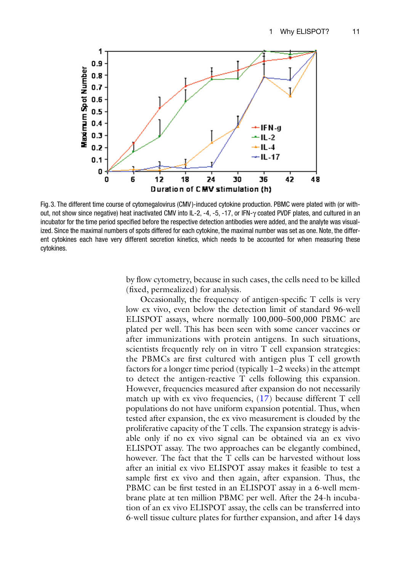<span id="page-8-0"></span>

Fig. 3. The different time course of cytomegalovirus (CMV )-induced cytokine production. PBMC were plated with (or without, not show since negative) heat inactivated CMV into IL-2, -4, -5, -17, or IFN- $\gamma$  coated PVDF plates, and cultured in an incubator for the time period specified before the respective detection antibodies were added, and the analyte was visualized. Since the maximal numbers of spots differed for each cytokine, the maximal number was set as one. Note, the different cytokines each have very different secretion kinetics, which needs to be accounted for when measuring these cytokines.

by flow cytometry, because in such cases, the cells need to be killed (fixed, permealized) for analysis.

Occasionally, the frequency of antigen-specific T cells is very low ex vivo, even below the detection limit of standard 96-well ELISPOT assays, where normally 100,000–500,000 PBMC are plated per well. This has been seen with some cancer vaccines or after immunizations with protein antigens. In such situations, scientists frequently rely on in vitro T cell expansion strategies: the PBMCs are first cultured with antigen plus T cell growth factors for a longer time period (typically 1–2 weeks) in the attempt to detect the antigen-reactive T cells following this expansion. However, frequencies measured after expansion do not necessarily match up with ex vivo frequencies,  $(17)$  $(17)$  because different T cell populations do not have uniform expansion potential. Thus, when tested after expansion, the ex vivo measurement is clouded by the proliferative capacity of the T cells. The expansion strategy is advisable only if no ex vivo signal can be obtained via an ex vivo ELISPOT assay. The two approaches can be elegantly combined, however. The fact that the T cells can be harvested without loss after an initial ex vivo ELISPOT assay makes it feasible to test a sample first ex vivo and then again, after expansion. Thus, the PBMC can be first tested in an ELISPOT assay in a 6-well membrane plate at ten million PBMC per well. After the 24-h incubation of an ex vivo ELISPOT assay, the cells can be transferred into 6-well tissue culture plates for further expansion, and after 14 days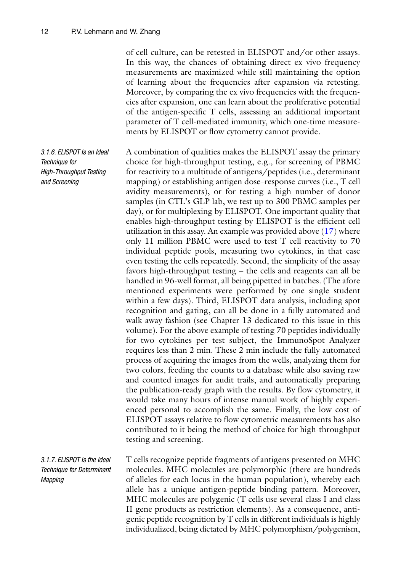of cell culture, can be retested in ELISPOT and/or other assays. In this way, the chances of obtaining direct ex vivo frequency measurements are maximized while still maintaining the option of learning about the frequencies after expansion via retesting. Moreover, by comparing the ex vivo frequencies with the frequencies after expansion, one can learn about the proliferative potential of the antigen-specific T cells, assessing an additional important parameter of T cell-mediated immunity, which one-time measurements by ELISPOT or flow cytometry cannot provide.

A combination of qualities makes the ELISPOT assay the primary choice for high-throughput testing, e.g., for screening of PBMC for reactivity to a multitude of antigens/peptides (i.e., determinant mapping) or establishing antigen dose–response curves (i.e., T cell avidity measurements), or for testing a high number of donor samples (in CTL's GLP lab, we test up to 300 PBMC samples per day), or for multiplexing by ELISPOT. One important quality that enables high-throughput testing by ELISPOT is the efficient cell utilization in this assay. An example was provided above  $(17)$  $(17)$  where only 11 million PBMC were used to test T cell reactivity to 70 individual peptide pools, measuring two cytokines, in that case even testing the cells repeatedly. Second, the simplicity of the assay favors high-throughput testing – the cells and reagents can all be handled in 96-well format, all being pipetted in batches. (The afore mentioned experiments were performed by one single student within a few days). Third, ELISPOT data analysis, including spot recognition and gating, can all be done in a fully automated and walk-away fashion (see Chapter 13 dedicated to this issue in this volume). For the above example of testing 70 peptides individually for two cytokines per test subject, the ImmunoSpot Analyzer requires less than 2 min. These 2 min include the fully automated process of acquiring the images from the wells, analyzing them for two colors, feeding the counts to a database while also saving raw and counted images for audit trails, and automatically preparing the publication-ready graph with the results. By flow cytometry, it would take many hours of intense manual work of highly experienced personal to accomplish the same. Finally, the low cost of ELISPOT assays relative to flow cytometric measurements has also contributed to it being the method of choice for high-throughput testing and screening. 3.1.6. ELISPOT Is an Ideal Technique for High-Throughput Testing and Screening

3.1.7. ELISPOT Is the Ideal Technique for Determinant **Mapping** 

T cells recognize peptide fragments of antigens presented on MHC molecules. MHC molecules are polymorphic (there are hundreds of alleles for each locus in the human population), whereby each allele has a unique antigen-peptide binding pattern. Moreover, MHC molecules are polygenic (T cells use several class I and class II gene products as restriction elements). As a consequence, antigenic peptide recognition by T cells in different individuals is highly individualized, being dictated by MHC polymorphism/polygenism,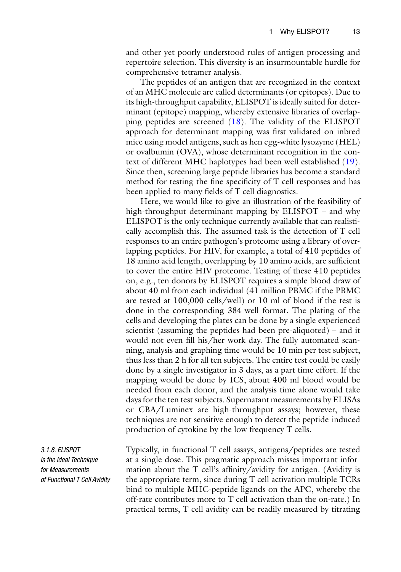and other yet poorly understood rules of antigen processing and repertoire selection. This diversity is an insurmountable hurdle for comprehensive tetramer analysis.

The peptides of an antigen that are recognized in the context of an MHC molecule are called determinants (or epitopes). Due to its high-throughput capability, ELISPOT is ideally suited for determinant (epitope) mapping, whereby extensive libraries of overlapping peptides are screened  $(18)$  $(18)$ . The validity of the ELISPOT approach for determinant mapping was first validated on inbred mice using model antigens, such as hen egg-white lysozyme (HEL) or ovalbumin (OVA), whose determinant recognition in the context of different MHC haplotypes had been well established ([19\)](#page-19-0). Since then, screening large peptide libraries has become a standard method for testing the fine specificity of T cell responses and has been applied to many fields of T cell diagnostics.

Here, we would like to give an illustration of the feasibility of high-throughput determinant mapping by ELISPOT – and why ELISPOT is the only technique currently available that can realistically accomplish this. The assumed task is the detection of T cell responses to an entire pathogen's proteome using a library of overlapping peptides. For HIV, for example, a total of 410 peptides of 18 amino acid length, overlapping by 10 amino acids, are sufficient to cover the entire HIV proteome. Testing of these 410 peptides on, e.g., ten donors by ELISPOT requires a simple blood draw of about 40 ml from each individual (41 million PBMC if the PBMC are tested at 100,000 cells/well) or 10 ml of blood if the test is done in the corresponding 384-well format. The plating of the cells and developing the plates can be done by a single experienced scientist (assuming the peptides had been pre-aliquoted) – and it would not even fill his/her work day. The fully automated scanning, analysis and graphing time would be 10 min per test subject, thus less than 2 h for all ten subjects. The entire test could be easily done by a single investigator in 3 days, as a part time effort. If the mapping would be done by ICS, about 400 ml blood would be needed from each donor, and the analysis time alone would take days for the ten test subjects. Supernatant measurements by ELISAs or CBA/Luminex are high-throughput assays; however, these techniques are not sensitive enough to detect the peptide-induced production of cytokine by the low frequency T cells.

3.1.8. ELISPOT Is the Ideal Technique for Measurements of Functional T Cell Avidity Typically, in functional T cell assays, antigens/peptides are tested at a single dose. This pragmatic approach misses important information about the T cell's affinity/avidity for antigen. (Avidity is the appropriate term, since during T cell activation multiple TCRs bind to multiple MHC-peptide ligands on the APC, whereby the off-rate contributes more to T cell activation than the on-rate.) In practical terms, T cell avidity can be readily measured by titrating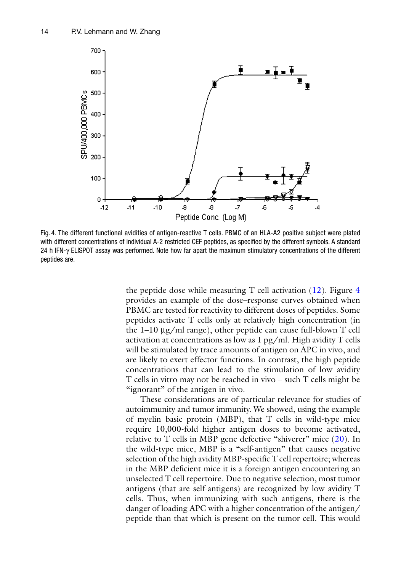

Fig. 4. The different functional avidities of antigen-reactive T cells. PBMC of an HLA-A2 positive subject were plated with different concentrations of individual A-2 restricted CEF peptides, as specified by the different symbols. A standard 24 h IFN- $\gamma$  ELISPOT assay was performed. Note how far apart the maximum stimulatory concentrations of the different peptides are.

the peptide dose while measuring  $T$  cell activation  $(12)$ . Figure 4 provides an example of the dose–response curves obtained when PBMC are tested for reactivity to different doses of peptides. Some peptides activate T cells only at relatively high concentration (in the  $1-10 \mu g/ml$  range), other peptide can cause full-blown T cell activation at concentrations as low as 1 pg/ml. High avidity T cells will be stimulated by trace amounts of antigen on APC in vivo, and are likely to exert effector functions. In contrast, the high peptide concentrations that can lead to the stimulation of low avidity T cells in vitro may not be reached in vivo – such T cells might be "ignorant" of the antigen in vivo.

These considerations are of particular relevance for studies of autoimmunity and tumor immunity. We showed, using the example of myelin basic protein (MBP), that T cells in wild-type mice require 10,000-fold higher antigen doses to become activated, relative to T cells in MBP gene defective "shiverer" mice ([20](#page-20-0)). In the wild-type mice, MBP is a "self-antigen" that causes negative selection of the high avidity MBP-specific T cell repertoire; whereas in the MBP deficient mice it is a foreign antigen encountering an unselected T cell repertoire. Due to negative selection, most tumor antigens (that are self-antigens) are recognized by low avidity T cells. Thus, when immunizing with such antigens, there is the danger of loading APC with a higher concentration of the antigen/ peptide than that which is present on the tumor cell. This would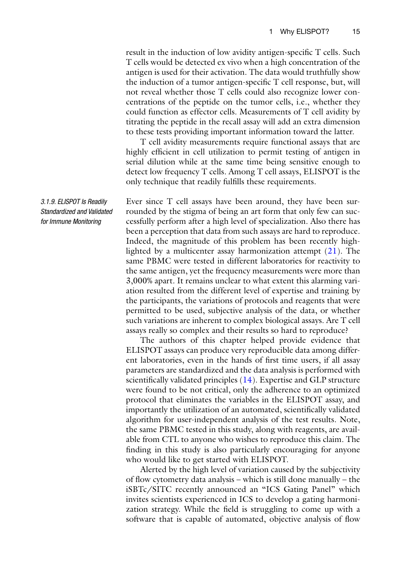result in the induction of low avidity antigen-specific T cells. Such T cells would be detected ex vivo when a high concentration of the antigen is used for their activation. The data would truthfully show the induction of a tumor antigen-specific T cell response, but, will not reveal whether those T cells could also recognize lower concentrations of the peptide on the tumor cells, i.e., whether they could function as effector cells. Measurements of T cell avidity by titrating the peptide in the recall assay will add an extra dimension to these tests providing important information toward the latter.

T cell avidity measurements require functional assays that are highly efficient in cell utilization to permit testing of antigen in serial dilution while at the same time being sensitive enough to detect low frequency T cells. Among T cell assays, ELISPOT is the only technique that readily fulfills these requirements.

Ever since T cell assays have been around, they have been surrounded by the stigma of being an art form that only few can successfully perform after a high level of specialization. Also there has been a perception that data from such assays are hard to reproduce. Indeed, the magnitude of this problem has been recently highlighted by a multicenter assay harmonization attempt  $(21)$  $(21)$  $(21)$ . The same PBMC were tested in different laboratories for reactivity to the same antigen, yet the frequency measurements were more than 3,000% apart. It remains unclear to what extent this alarming variation resulted from the different level of expertise and training by the participants, the variations of protocols and reagents that were permitted to be used, subjective analysis of the data, or whether such variations are inherent to complex biological assays. Are T cell assays really so complex and their results so hard to reproduce?

The authors of this chapter helped provide evidence that ELISPOT assays can produce very reproducible data among different laboratories, even in the hands of first time users, if all assay parameters are standardized and the data analysis is performed with scientifically validated principles ([14](#page-19-0)). Expertise and GLP structure were found to be not critical, only the adherence to an optimized protocol that eliminates the variables in the ELISPOT assay, and importantly the utilization of an automated, scientifically validated algorithm for user-independent analysis of the test results. Note, the same PBMC tested in this study, along with reagents, are available from CTL to anyone who wishes to reproduce this claim. The finding in this study is also particularly encouraging for anyone who would like to get started with ELISPOT.

Alerted by the high level of variation caused by the subjectivity of flow cytometry data analysis – which is still done manually – the iSBTc/SITC recently announced an "ICS Gating Panel" which invites scientists experienced in ICS to develop a gating harmonization strategy. While the field is struggling to come up with a software that is capable of automated, objective analysis of flow

3.1.9. ELISPOT Is Readily Standardized and Validated for Immune Monitoring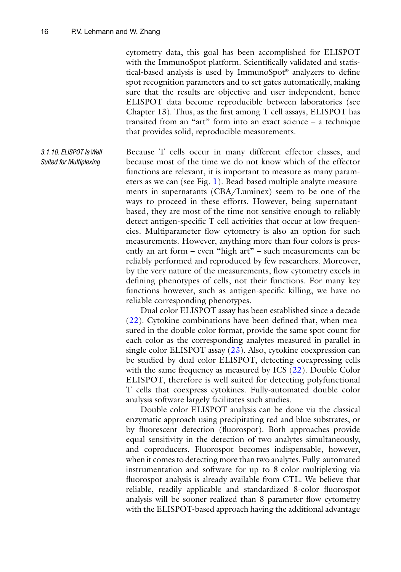cytometry data, this goal has been accomplished for ELISPOT with the ImmunoSpot platform. Scientifically validated and statistical-based analysis is used by ImmunoSpot® analyzers to define spot recognition parameters and to set gates automatically, making sure that the results are objective and user independent, hence ELISPOT data become reproducible between laboratories (see Chapter 13). Thus, as the first among T cell assays, ELISPOT has transited from an "art" form into an exact science – a technique that provides solid, reproducible measurements.

Because T cells occur in many different effector classes, and because most of the time we do not know which of the effector functions are relevant, it is important to measure as many parameters as we can (see Fig. [1](#page-2-0)). Bead-based multiple analyte measurements in supernatants (CBA/Luminex) seem to be one of the ways to proceed in these efforts. However, being supernatantbased, they are most of the time not sensitive enough to reliably detect antigen-specific T cell activities that occur at low frequencies. Multiparameter flow cytometry is also an option for such measurements. However, anything more than four colors is presently an art form – even "high art" – such measurements can be reliably performed and reproduced by few researchers. Moreover, by the very nature of the measurements, flow cytometry excels in defining phenotypes of cells, not their functions. For many key functions however, such as antigen-specific killing, we have no reliable corresponding phenotypes. 3.1.10. ELISPOT Is Well Suited for Multiplexing

Dual color ELISPOT assay has been established since a decade ([22](#page-20-0)). Cytokine combinations have been defined that, when measured in the double color format, provide the same spot count for each color as the corresponding analytes measured in parallel in single color ELISPOT assay ([23](#page-20-0)). Also, cytokine coexpression can be studied by dual color ELISPOT, detecting coexpressing cells with the same frequency as measured by ICS [\(22](#page-20-0)). Double Color ELISPOT, therefore is well suited for detecting polyfunctional T cells that coexpress cytokines. Fully-automated double color analysis software largely facilitates such studies.

Double color ELISPOT analysis can be done via the classical enzymatic approach using precipitating red and blue substrates, or by fluorescent detection (fluorospot). Both approaches provide equal sensitivity in the detection of two analytes simultaneously, and coproducers. Fluorospot becomes indispensable, however, when it comes to detecting more than two analytes. Fully-automated instrumentation and software for up to 8-color multiplexing via fluorospot analysis is already available from CTL. We believe that reliable, readily applicable and standardized 8-color fluorospot analysis will be sooner realized than 8 parameter flow cytometry with the ELISPOT-based approach having the additional advantage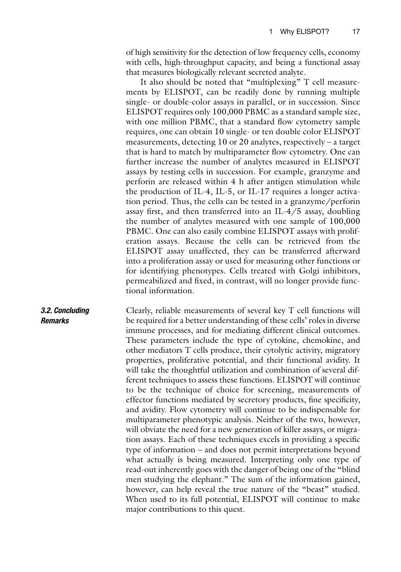of high sensitivity for the detection of low frequency cells, economy with cells, high-throughput capacity, and being a functional assay that measures biologically relevant secreted analyte.

It also should be noted that "multiplexing" T cell measurements by ELISPOT, can be readily done by running multiple single- or double-color assays in parallel, or in succession. Since ELISPOT requires only 100,000 PBMC as a standard sample size, with one million PBMC, that a standard flow cytometry sample requires, one can obtain 10 single- or ten double color ELISPOT measurements, detecting 10 or 20 analytes, respectively – a target that is hard to match by multiparameter flow cytometry. One can further increase the number of analytes measured in ELISPOT assays by testing cells in succession. For example, granzyme and perforin are released within 4 h after antigen stimulation while the production of IL-4, IL-5, or IL-17 requires a longer activation period. Thus, the cells can be tested in a granzyme/perforin assay first, and then transferred into an IL-4/5 assay, doubling the number of analytes measured with one sample of 100,000 PBMC. One can also easily combine ELISPOT assays with proliferation assays. Because the cells can be retrieved from the ELISPOT assay unaffected, they can be transferred afterward into a proliferation assay or used for measuring other functions or for identifying phenotypes. Cells treated with Golgi inhibitors, permeabilized and fixed, in contrast, will no longer provide functional information.

Clearly, reliable measurements of several key T cell functions will be required for a better understanding of these cells' roles in diverse immune processes, and for mediating different clinical outcomes. These parameters include the type of cytokine, chemokine, and other mediators T cells produce, their cytolytic activity, migratory properties, proliferative potential, and their functional avidity. It will take the thoughtful utilization and combination of several different techniques to assess these functions. ELISPOT will continue to be the technique of choice for screening, measurements of effector functions mediated by secretory products, fine specificity, and avidity. Flow cytometry will continue to be indispensable for multiparameter phenotypic analysis. Neither of the two, however, will obviate the need for a new generation of killer assays, or migration assays. Each of these techniques excels in providing a specific type of information – and does not permit interpretations beyond what actually is being measured. Interpreting only one type of read-out inherently goes with the danger of being one of the "blind men studying the elephant." The sum of the information gained, however, can help reveal the true nature of the "beast" studied. When used to its full potential, ELISPOT will continue to make major contributions to this quest. *3.2. Concluding Remarks*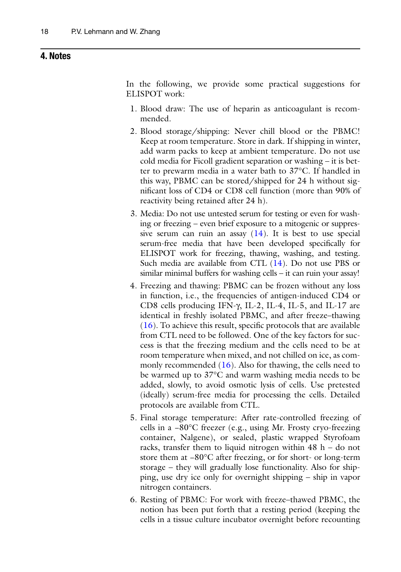#### **4. Notes**

In the following, we provide some practical suggestions for ELISPOT work:

- 1. Blood draw: The use of heparin as anticoagulant is recommended.
- 2. Blood storage/shipping: Never chill blood or the PBMC! Keep at room temperature. Store in dark. If shipping in winter, add warm packs to keep at ambient temperature. Do not use cold media for Ficoll gradient separation or washing – it is better to prewarm media in a water bath to 37°C. If handled in this way, PBMC can be stored/shipped for 24 h without significant loss of CD4 or CD8 cell function (more than 90% of reactivity being retained after 24 h).
- 3. Media: Do not use untested serum for testing or even for washing or freezing – even brief exposure to a mitogenic or suppressive serum can ruin an assay  $(14)$  $(14)$  $(14)$ . It is best to use special serum-free media that have been developed specifically for ELISPOT work for freezing, thawing, washing, and testing. Such media are available from CTL [\(14](#page-19-0)). Do not use PBS or similar minimal buffers for washing cells – it can ruin your assay!
- 4. Freezing and thawing: PBMC can be frozen without any loss in function, i.e., the frequencies of antigen-induced CD4 or CD8 cells producing IFN- $\gamma$ , IL-2, IL-4, IL-5, and IL-17 are identical in freshly isolated PBMC, and after freeze–thawing ([16](#page-19-0)). To achieve this result, specific protocols that are available from CTL need to be followed. One of the key factors for success is that the freezing medium and the cells need to be at room temperature when mixed, and not chilled on ice, as commonly recommended ([16\)](#page-19-0). Also for thawing, the cells need to be warmed up to 37°C and warm washing media needs to be added, slowly, to avoid osmotic lysis of cells. Use pretested (ideally) serum-free media for processing the cells. Detailed protocols are available from CTL.
- 5. Final storage temperature: After rate-controlled freezing of cells in a −80°C freezer (e.g., using Mr. Frosty cryo-freezing container, Nalgene), or sealed, plastic wrapped Styrofoam racks, transfer them to liquid nitrogen within  $48$  h – do not store them at −80°C after freezing, or for short- or long-term storage – they will gradually lose functionality. Also for shipping, use dry ice only for overnight shipping – ship in vapor nitrogen containers.
- 6. Resting of PBMC: For work with freeze–thawed PBMC, the notion has been put forth that a resting period (keeping the cells in a tissue culture incubator overnight before recounting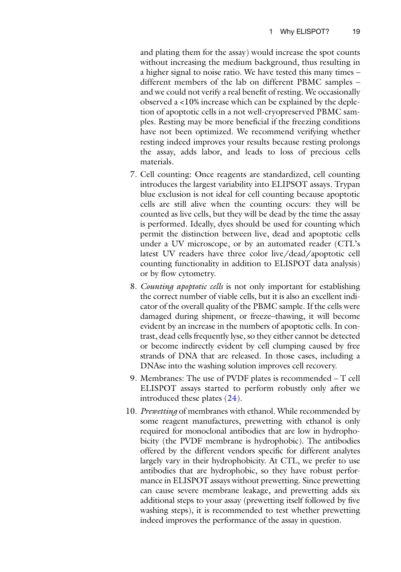and plating them for the assay) would increase the spot counts without increasing the medium background, thus resulting in a higher signal to noise ratio. We have tested this many times – different members of the lab on different PBMC samples – and we could not verify a real benefit of resting. We occasionally observed a <10% increase which can be explained by the depletion of apoptotic cells in a not well-cryopreserved PBMC samples. Resting may be more beneficial if the freezing conditions have not been optimized. We recommend verifying whether resting indeed improves your results because resting prolongs the assay, adds labor, and leads to loss of precious cells materials.

- 7. Cell counting: Once reagents are standardized, cell counting introduces the largest variability into ELIPSOT assays. Trypan blue exclusion is not ideal for cell counting because apoptotic cells are still alive when the counting occurs: they will be counted as live cells, but they will be dead by the time the assay is performed. Ideally, dyes should be used for counting which permit the distinction between live, dead and apoptotic cells under a UV microscope, or by an automated reader (CTL's latest UV readers have three color live/dead/apoptotic cell counting functionality in addition to ELISPOT data analysis) or by flow cytometry.
- 8. *Counting apoptotic cells* is not only important for establishing the correct number of viable cells, but it is also an excellent indicator of the overall quality of the PBMC sample. If the cells were damaged during shipment, or freeze–thawing, it will become evident by an increase in the numbers of apoptotic cells. In contrast, dead cells frequently lyse, so they either cannot be detected or become indirectly evident by cell clumping caused by free strands of DNA that are released. In those cases, including a DNAse into the washing solution improves cell recovery.
- 9. Membranes: The use of PVDF plates is recommended T cell ELISPOT assays started to perform robustly only after we introduced these plates  $(24)$  $(24)$ .
- 10. *Prewetting* of membranes with ethanol. While recommended by some reagent manufactures, prewetting with ethanol is only required for monoclonal antibodies that are low in hydrophobicity (the PVDF membrane is hydrophobic). The antibodies offered by the different vendors specific for different analytes largely vary in their hydrophobicity. At CTL, we prefer to use antibodies that are hydrophobic, so they have robust performance in ELISPOT assays without prewetting. Since prewetting can cause severe membrane leakage, and prewetting adds six additional steps to your assay (prewetting itself followed by five washing steps), it is recommended to test whether prewetting indeed improves the performance of the assay in question.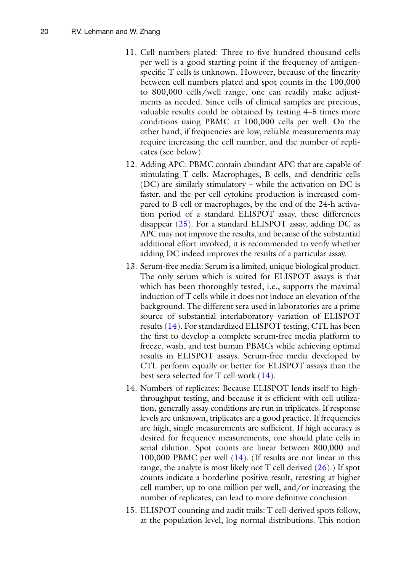- 11. Cell numbers plated: Three to five hundred thousand cells per well is a good starting point if the frequency of antigenspecific T cells is unknown. However, because of the linearity between cell numbers plated and spot counts in the 100,000 to 800,000 cells/well range, one can readily make adjustments as needed. Since cells of clinical samples are precious, valuable results could be obtained by testing 4–5 times more conditions using PBMC at 100,000 cells per well. On the other hand, if frequencies are low, reliable measurements may require increasing the cell number, and the number of replicates (see below).
- 12. Adding APC: PBMC contain abundant APC that are capable of stimulating T cells. Macrophages, B cells, and dendritic cells (DC) are similarly stimulatory – while the activation on DC is faster, and the per cell cytokine production is increased compared to B cell or macrophages, by the end of the 24-h activation period of a standard ELISPOT assay, these differences disappear [\(25](#page-20-0)). For a standard ELISPOT assay, adding DC as APC may not improve the results, and because of the substantial additional effort involved, it is recommended to verify whether adding DC indeed improves the results of a particular assay.
- 13. Serum-free media: Serum is a limited, unique biological product. The only serum which is suited for ELISPOT assays is that which has been thoroughly tested, i.e., supports the maximal induction of T cells while it does not induce an elevation of the background. The different sera used in laboratories are a prime source of substantial interlaboratory variation of ELISPOT results [\(14\)](#page-19-0). For standardized ELISPOT testing, CTL has been the first to develop a complete serum-free media platform to freeze, wash, and test human PBMCs while achieving optimal results in ELISPOT assays. Serum-free media developed by CTL perform equally or better for ELISPOT assays than the best sera selected for T cell work ([14](#page-19-0)).
- 14. Numbers of replicates: Because ELISPOT lends itself to highthroughput testing, and because it is efficient with cell utilization, generally assay conditions are run in triplicates. If response levels are unknown, triplicates are a good practice. If frequencies are high, single measurements are sufficient. If high accuracy is desired for frequency measurements, one should plate cells in serial dilution. Spot counts are linear between 800,000 and 100,000 PBMC per well ([14](#page-19-0)). (If results are not linear in this range, the analyte is most likely not T cell derived  $(26)$  $(26)$  $(26)$ .) If spot counts indicate a borderline positive result, retesting at higher cell number, up to one million per well, and/or increasing the number of replicates, can lead to more definitive conclusion.
- 15. ELISPOT counting and audit trails: T cell-derived spots follow, at the population level, log normal distributions. This notion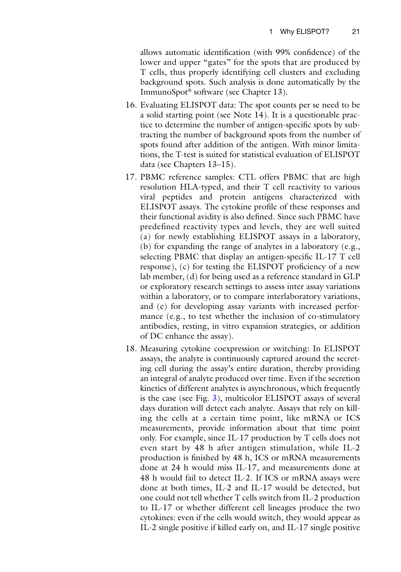allows automatic identification (with 99% confidence) of the lower and upper "gates" for the spots that are produced by T cells, thus properly identifying cell clusters and excluding background spots. Such analysis is done automatically by the ImmunoSpot® software (see Chapter 13).

- 16. Evaluating ELISPOT data: The spot counts per se need to be a solid starting point (see Note 14). It is a questionable practice to determine the number of antigen-specific spots by subtracting the number of background spots from the number of spots found after addition of the antigen. With minor limitations, the T-test is suited for statistical evaluation of ELISPOT data (see Chapters 13–15).
- 17. PBMC reference samples: CTL offers PBMC that are high resolution HLA-typed, and their T cell reactivity to various viral peptides and protein antigens characterized with ELISPOT assays. The cytokine profile of these responses and their functional avidity is also defined. Since such PBMC have predefined reactivity types and levels, they are well suited (a) for newly establishing ELISPOT assays in a laboratory, (b) for expanding the range of analytes in a laboratory (e.g., selecting PBMC that display an antigen-specific IL-17 T cell response), (c) for testing the ELISPOT proficiency of a new lab member, (d) for being used as a reference standard in GLP or exploratory research settings to assess inter assay variations within a laboratory, or to compare interlaboratory variations, and (e) for developing assay variants with increased performance (e.g., to test whether the inclusion of co-stimulatory antibodies, resting, in vitro expansion strategies, or addition of DC enhance the assay).
- 18. Measuring cytokine coexpression or switching: In ELISPOT assays, the analyte is continuously captured around the secreting cell during the assay's entire duration, thereby providing an integral of analyte produced over time. Even if the secretion kinetics of different analytes is asynchronous, which frequently is the case (see Fig. [3](#page-8-0)), multicolor ELISPOT assays of several days duration will detect each analyte. Assays that rely on killing the cells at a certain time point, like mRNA or ICS measurements, provide information about that time point only. For example, since IL-17 production by T cells does not even start by 48 h after antigen stimulation, while IL-2 production is finished by 48 h, ICS or mRNA measurements done at 24 h would miss IL-17, and measurements done at 48 h would fail to detect IL-2. If ICS or mRNA assays were done at both times, IL-2 and IL-17 would be detected, but one could not tell whether T cells switch from IL-2 production to IL-17 or whether different cell lineages produce the two cytokines: even if the cells would switch, they would appear as IL-2 single positive if killed early on, and IL-17 single positive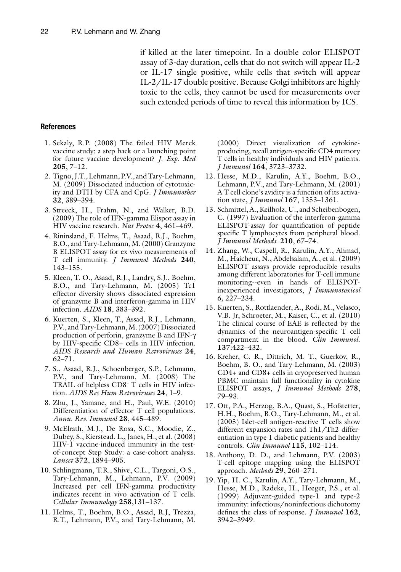if killed at the later timepoint. In a double color ELISPOT assay of 3-day duration, cells that do not switch will appear IL-2 or IL-17 single positive, while cells that switch will appear IL-2/IL-17 double positive. Because Golgi inhibitors are highly toxic to the cells, they cannot be used for measurements over such extended periods of time to reveal this information by ICS.

#### <span id="page-19-0"></span>**References**

- 1. Sekaly, R.P. (2008) The failed HIV Merck vaccine study: a step back or a launching point for future vaccine development? *J. Exp. Med* **205**, 7–12.
- 2. Tigno, J.T., Lehmann, P.V., and Tary-Lehmann, M. (2009) Dissociated induction of cytotoxicity and DTH by CFA and CpG. *J Immunother* **32**, 389–394.
- 3. Streeck, H., Frahm, N., and Walker, B.D. (2009) The role of IFN-gamma Elispot assay in HIV vaccine research. *Nat Protoc* **4**, 461–469.
- 4. Rininsland, F. Helms, T., Asaad, R.J., Boehm, B.O., and Tary-Lehmann, M. (2000) Granzyme B ELISPOT assay for ex vivo measurements of T cell immunity. *J Immunol Methods* **240**, 143–155.
- 5. Kleen, T. O., Asaad, R.J., Landry, S.J., Boehm, B.O., and Tary-Lehmann, M. (2005) Tc1 effector diversity shows dissociated expression of granzyme B and interferon-gamma in HIV infection. *AIDS* **18**, 383–392.
- 6. Kuerten, S., Kleen, T., Assad, R.J., Lehmann, P.V., and Tary-Lehmann, M. (2007) Dissociated production of perforin, granzyme B and IFN- $\gamma$ by HIV-specific CD8+ cells in HIV infection. *AIDS Research and Human Retroviruses* **24**, 62–71.
- 7. S., Asaad, R.J., Schoenberger, S.P., Lehmann, P.V., and Tary-Lehmann, M. (2008) The TRAIL of helpless CD8+ T cells in HIV infection*. AIDS Res Hum Retroviruses* **24**, 1–9.
- 8. Zhu, J., Yamane, and H., Paul, W.E. (2010) Differentiation of effector T cell populations. *Annu. Rev. Immunol* **28**, 445–489.
- 9. McElrath, M.J., De Rosa, S.C., Moodie, Z., Dubey, S., Kierstead. L,, Janes, H., et al. (2008) HIV-1 vaccine-induced immunity in the testof-concept Step Study: a case-cohort analysis. *Lancet* **372**, 1894–905.
- 10. Schlingmann, T.R., Shive, C.L., Targoni, O.S., Tary-Lehmann, M., Lehmann, P.V. (2009) Increased per cell IFN-gamma productivity indicates recent in vivo activation of T cells*. Cellular Immunology* **258**,131–137.
- 11. Helms, T., Boehm, B.O., Assad, R.J, Trezza, R.T., Lehmann, P.V., and Tary-Lehmann, M.

(2000) Direct visualization of cytokineproducing, recall antigen-specific CD4 memory T cells in healthy individuals and HIV patients. *J Immunol* **164**, 3723–3732.

- 12. Hesse, M.D., Karulin, A.Y., Boehm, B.O., Lehmann, P.V., and Tary-Lehmann, M. (2001) A T cell clone's avidity is a function of its activation state, *J Immunol* **167**, 1353–1361.
- 13. Schmittel, A., Keilholz, U., and Scheibenbogen, C. (1997) Evaluation of the interferon-gamma ELISPOT-assay for quantification of peptide specific T lymphocytes from peripheral blood. *J Immunol Methods*. **210**, 67–74.
- 14. Zhang, W., Caspell, R., Karulin, A.Y., Ahmad, M., Haicheur, N., Abdelsalam, A., et al. (2009) ELISPOT assays provide reproducible results among different laboratories for T-cell immune monitoring--even in hands of ELISPOTinexperienced investigators, *J Immunotoxicol* 6*,* 227–234.
- 15. Kuerten, S., Rottlaender, A., Rodi, M., Velasco, V.B. Jr, Schroeter, M., Kaiser, C., et al. (2010) The clinical course of EAE is reflected by the dynamics of the neuroantigen-specific T cell compartment in the blood. *Clin Immunol*. **137**:422–432.
- 16. Kreher, C. R., Dittrich, M. T., Guerkov, R., Boehm, B. O., and Tary-Lehmann, M. (2003) CD4+ and CD8+ cells in cryopreserved human PBMC maintain full functionality in cytokine ELISPOT assays, *J Immunol Methods* **278**, 79–93.
- 17. Ott, P.A., Herzog, B.A., Quast, S., Hofstetter, H.H., Boehm, B.O., Tary-Lehmann, M., et al. (2005) Islet-cell antigen-reactive T cells show different expansion rates and Th1/Th2 differentiation in type 1 diabetic patients and healthy controls. *Clin Immunol* **115**, 102–114.
- 18. Anthony, D. D., and Lehmann, P.V. (2003) T-cell epitope mapping using the ELISPOT approach. *Methods* **29**, 260–271.
- 19. Yip, H. C., Karulin, A.Y., Tary-Lehmann, M., Hesse, M.D., Radeke, H., Heeger, P.S., et al. (1999) Adjuvant-guided type-1 and type-2 immunity: infectious/noninfectious dichotomy defines the class of response. *J Immunol* **162**, 3942**–**3949.